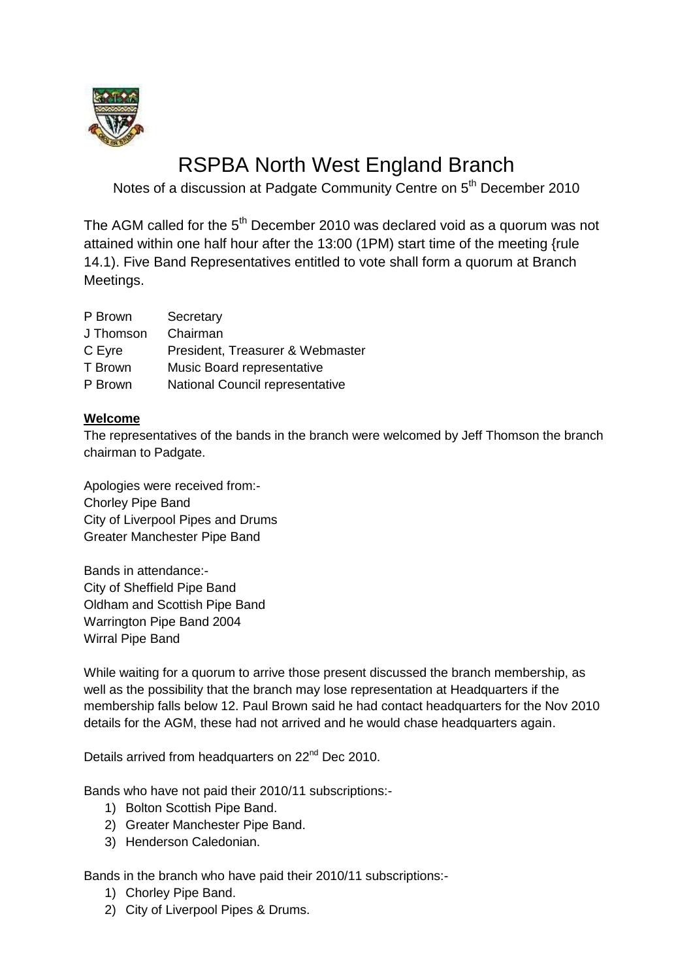

## RSPBA North West England Branch

Notes of a discussion at Padgate Community Centre on 5<sup>th</sup> December 2010

The AGM called for the 5<sup>th</sup> December 2010 was declared void as a quorum was not attained within one half hour after the 13:00 (1PM) start time of the meeting {rule 14.1). Five Band Representatives entitled to vote shall form a quorum at Branch Meetings.

| P Brown   | Secretary                        |
|-----------|----------------------------------|
| J Thomson | Chairman                         |
| C Eyre    | President, Treasurer & Webmaster |
| T Brown   | Music Board representative       |
| P Brown   | National Council representative  |

### **Welcome**

The representatives of the bands in the branch were welcomed by Jeff Thomson the branch chairman to Padgate.

Apologies were received from:- Chorley Pipe Band City of Liverpool Pipes and Drums Greater Manchester Pipe Band

Bands in attendance:- City of Sheffield Pipe Band Oldham and Scottish Pipe Band Warrington Pipe Band 2004 Wirral Pipe Band

While waiting for a quorum to arrive those present discussed the branch membership, as well as the possibility that the branch may lose representation at Headquarters if the membership falls below 12. Paul Brown said he had contact headquarters for the Nov 2010 details for the AGM, these had not arrived and he would chase headquarters again.

Details arrived from headquarters on  $22<sup>nd</sup>$  Dec 2010.

Bands who have not paid their 2010/11 subscriptions:-

- 1) Bolton Scottish Pipe Band.
- 2) Greater Manchester Pipe Band.
- 3) Henderson Caledonian.

Bands in the branch who have paid their 2010/11 subscriptions:-

- 1) Chorley Pipe Band.
- 2) City of Liverpool Pipes & Drums.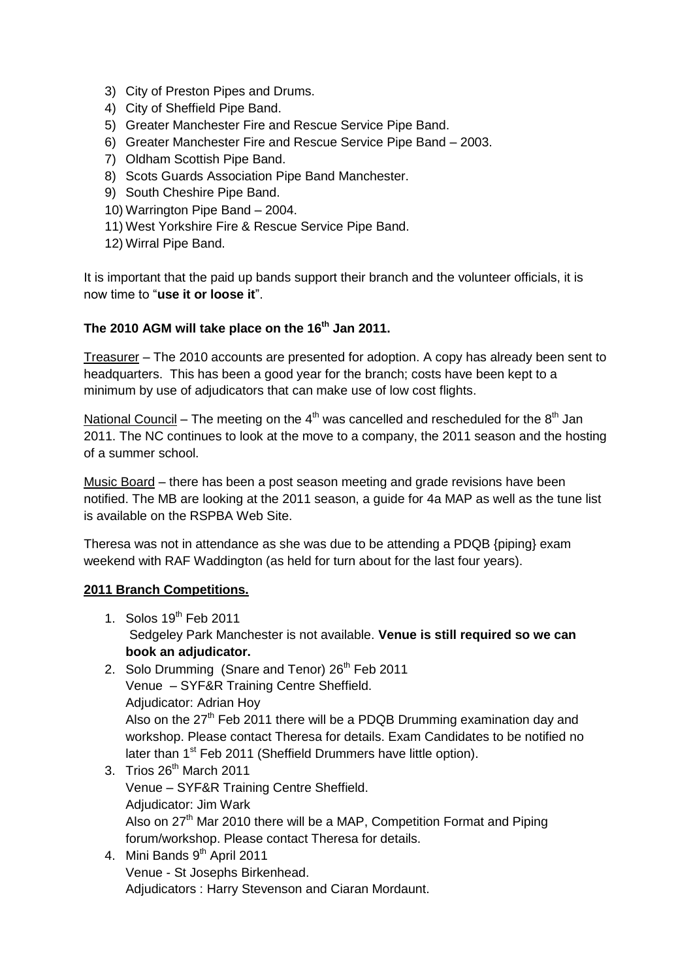- 3) City of Preston Pipes and Drums.
- 4) City of Sheffield Pipe Band.
- 5) Greater Manchester Fire and Rescue Service Pipe Band.
- 6) Greater Manchester Fire and Rescue Service Pipe Band 2003.
- 7) Oldham Scottish Pipe Band.
- 8) Scots Guards Association Pipe Band Manchester.
- 9) South Cheshire Pipe Band.
- 10) Warrington Pipe Band 2004.
- 11) West Yorkshire Fire & Rescue Service Pipe Band.
- 12) Wirral Pipe Band.

It is important that the paid up bands support their branch and the volunteer officials, it is now time to "**use it or loose it**".

### **The 2010 AGM will take place on the 16th Jan 2011.**

Treasurer – The 2010 accounts are presented for adoption. A copy has already been sent to headquarters. This has been a good year for the branch; costs have been kept to a minimum by use of adjudicators that can make use of low cost flights.

National Council – The meeting on the  $4<sup>th</sup>$  was cancelled and rescheduled for the  $8<sup>th</sup>$  Jan 2011. The NC continues to look at the move to a company, the 2011 season and the hosting of a summer school.

Music Board – there has been a post season meeting and grade revisions have been notified. The MB are looking at the 2011 season, a guide for 4a MAP as well as the tune list is available on the RSPBA Web Site.

Theresa was not in attendance as she was due to be attending a PDQB {piping} exam weekend with RAF Waddington (as held for turn about for the last four years).

#### **2011 Branch Competitions.**

- 1. Solos  $19<sup>th</sup>$  Feb 2011 Sedgeley Park Manchester is not available. **Venue is still required so we can book an adjudicator.**
- 2. Solo Drumming (Snare and Tenor) 26<sup>th</sup> Feb 2011 Venue – SYF&R Training Centre Sheffield. Adjudicator: Adrian Hoy Also on the 27<sup>th</sup> Feb 2011 there will be a PDQB Drumming examination day and workshop. Please contact Theresa for details. Exam Candidates to be notified no later than 1<sup>st</sup> Feb 2011 (Sheffield Drummers have little option).
- 3. Trios  $26<sup>th</sup>$  March 2011 Venue – SYF&R Training Centre Sheffield. Adjudicator: Jim Wark Also on 27<sup>th</sup> Mar 2010 there will be a MAP, Competition Format and Piping forum/workshop. Please contact Theresa for details.
- 4. Mini Bands 9<sup>th</sup> April 2011 Venue - St Josephs Birkenhead. Adjudicators : Harry Stevenson and Ciaran Mordaunt.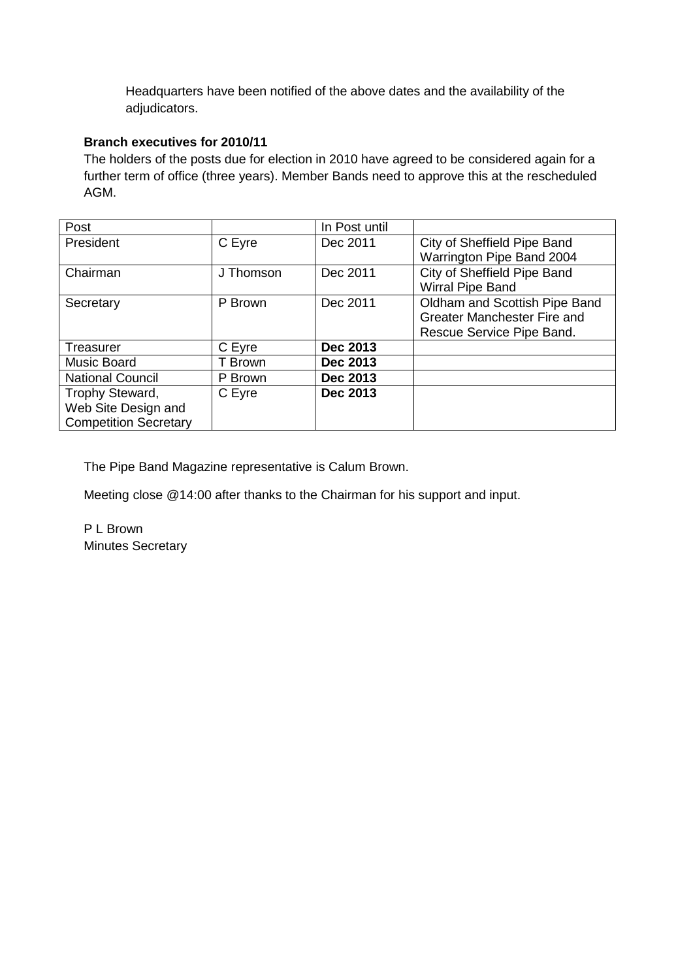Headquarters have been notified of the above dates and the availability of the adjudicators.

### **Branch executives for 2010/11**

The holders of the posts due for election in 2010 have agreed to be considered again for a further term of office (three years). Member Bands need to approve this at the rescheduled AGM.

| Post                         |           | In Post until |                               |
|------------------------------|-----------|---------------|-------------------------------|
| President                    | C Eyre    | Dec 2011      | City of Sheffield Pipe Band   |
|                              |           |               | Warrington Pipe Band 2004     |
| Chairman                     | J Thomson | Dec 2011      | City of Sheffield Pipe Band   |
|                              |           |               | Wirral Pipe Band              |
| Secretary                    | P Brown   | Dec 2011      | Oldham and Scottish Pipe Band |
|                              |           |               | Greater Manchester Fire and   |
|                              |           |               | Rescue Service Pipe Band.     |
| Treasurer                    | C Eyre    | Dec 2013      |                               |
| Music Board                  | T Brown   | Dec 2013      |                               |
| <b>National Council</b>      | P Brown   | Dec 2013      |                               |
| Trophy Steward,              | C Eyre    | Dec 2013      |                               |
| Web Site Design and          |           |               |                               |
| <b>Competition Secretary</b> |           |               |                               |

The Pipe Band Magazine representative is Calum Brown.

Meeting close @14:00 after thanks to the Chairman for his support and input.

P L Brown Minutes Secretary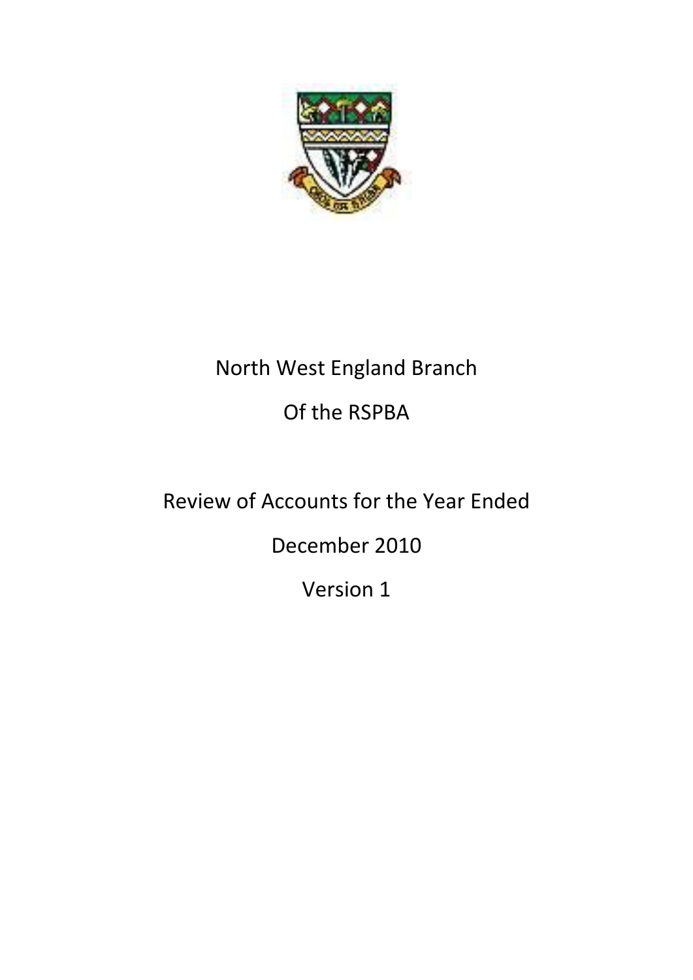

## North West England Branch Of the RSPBA

## Review of Accounts for the Year Ended

December 2010

Version 1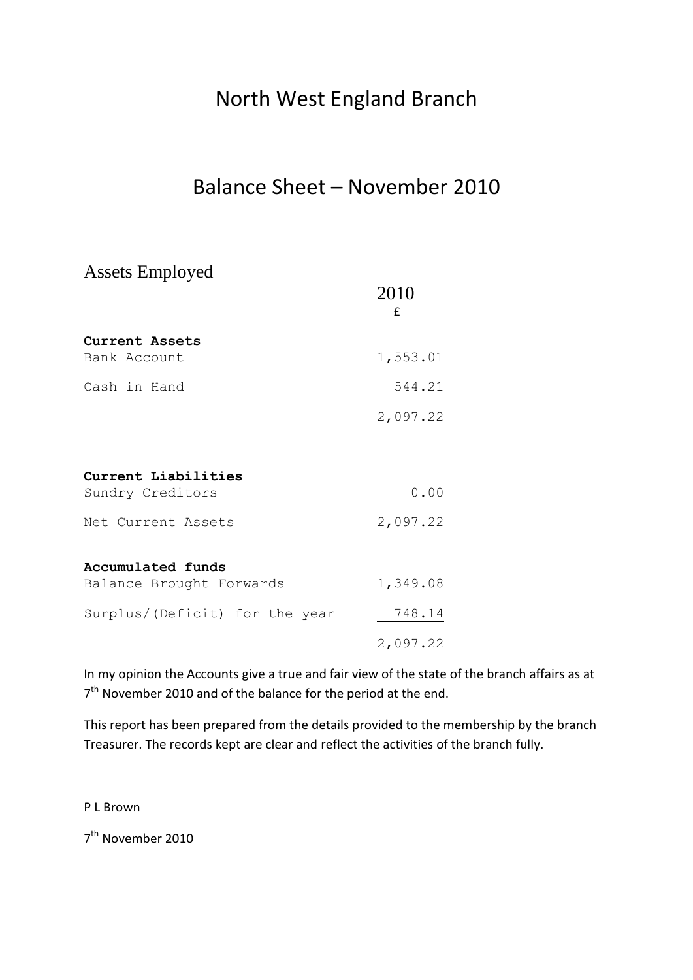## North West England Branch

### Balance Sheet – November 2010

Assets Employed

|                                               | 2010<br>f |
|-----------------------------------------------|-----------|
| Current Assets<br>Bank Account                | 1,553.01  |
| Cash in Hand                                  | 544.21    |
|                                               | 2,097.22  |
| Current Liabilities                           |           |
| Sundry Creditors                              | 0.00      |
| Net Current Assets                            | 2,097.22  |
| Accumulated funds<br>Balance Brought Forwards | 1,349.08  |
| Surplus/(Deficit) for the year                | 748.14    |
|                                               | 2,097.22  |

In my opinion the Accounts give a true and fair view of the state of the branch affairs as at 7<sup>th</sup> November 2010 and of the balance for the period at the end.

This report has been prepared from the details provided to the membership by the branch Treasurer. The records kept are clear and reflect the activities of the branch fully.

P L Brown

7<sup>th</sup> November 2010